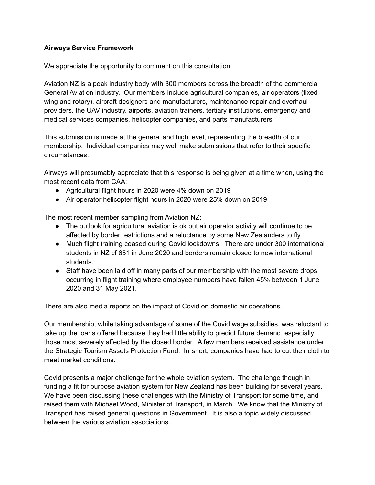## **Airways Service Framework**

We appreciate the opportunity to comment on this consultation.

Aviation NZ is a peak industry body with 300 members across the breadth of the commercial General Aviation industry. Our members include agricultural companies, air operators (fixed wing and rotary), aircraft designers and manufacturers, maintenance repair and overhaul providers, the UAV industry, airports, aviation trainers, tertiary institutions, emergency and medical services companies, helicopter companies, and parts manufacturers.

This submission is made at the general and high level, representing the breadth of our membership. Individual companies may well make submissions that refer to their specific circumstances.

Airways will presumably appreciate that this response is being given at a time when, using the most recent data from CAA:

- Agricultural flight hours in 2020 were 4% down on 2019
- Air operator helicopter flight hours in 2020 were 25% down on 2019

The most recent member sampling from Aviation NZ:

- The outlook for agricultural aviation is ok but air operator activity will continue to be affected by border restrictions and a reluctance by some New Zealanders to fly.
- Much flight training ceased during Covid lockdowns. There are under 300 international students in NZ cf 651 in June 2020 and borders remain closed to new international students.
- Staff have been laid off in many parts of our membership with the most severe drops occurring in flight training where employee numbers have fallen 45% between 1 June 2020 and 31 May 2021.

There are also media reports on the impact of Covid on domestic air operations.

Our membership, while taking advantage of some of the Covid wage subsidies, was reluctant to take up the loans offered because they had little ability to predict future demand, especially those most severely affected by the closed border. A few members received assistance under the Strategic Tourism Assets Protection Fund. In short, companies have had to cut their cloth to meet market conditions.

Covid presents a major challenge for the whole aviation system. The challenge though in funding a fit for purpose aviation system for New Zealand has been building for several years. We have been discussing these challenges with the Ministry of Transport for some time, and raised them with Michael Wood, Minister of Transport, in March. We know that the Ministry of Transport has raised general questions in Government. It is also a topic widely discussed between the various aviation associations.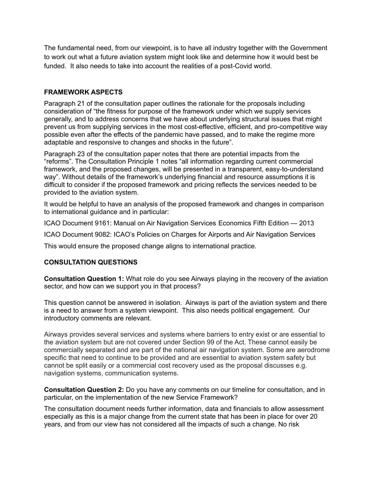The fundamental need, from our viewpoint, is to have all industry together with the Government to work out what a future aviation system might look like and determine how it would best be funded. It also needs to take into account the realities of a post-Covid world.

## **FRAMEWORK ASPECTS**

Paragraph 21 of the consultation paper outlines the rationale for the proposals including consideration of "the fitness for purpose of the framework under which we supply services generally, and to address concerns that we have about underlying structural issues that might prevent us from supplying services in the most cost-effective, efficient, and pro-competitive way possible even after the effects of the pandemic have passed, and to make the regime more adaptable and responsive to changes and shocks in the future".

Paragraph 23 of the consultation paper notes that there are potential impacts from the "reforms". The Consultation Principle 1 notes "all information regarding current commercial framework, and the proposed changes, will be presented in a transparent, easy-to-understand way". Without details of the framework's underlying financial and resource assumptions it is difficult to consider if the proposed framework and pricing reflects the services needed to be provided to the aviation system.

It would be helpful to have an analysis of the proposed framework and changes in comparison to international guidance and in particular:

ICAO Document 9161: Manual on Air Navigation Services Economics Fifth Edition — 2013

ICAO Document 9082: ICAO's Policies on Charges for Airports and Air Navigation Services

This would ensure the proposed change aligns to international practice.

## **CONSULTATION QUESTIONS**

**Consultation Question 1:** What role do you see Airways playing in the recovery of the aviation sector, and how can we support you in that process?

This question cannot be answered in isolation. Airways is part of the aviation system and there is a need to answer from a system viewpoint. This also needs political engagement. Our introductory comments are relevant.

Airways provides several services and systems where barriers to entry exist or are essential to the aviation system but are not covered under Section 99 of the Act. These cannot easily be commercially separated and are part of the national air navigation system. Some are aerodrome specific that need to continue to be provided and are essential to aviation system safety but cannot be split easily or a commercial cost recovery used as the proposal discusses e.g. navigation systems, communication systems.

**Consultation Question 2:** Do you have any comments on our timeline for consultation, and in particular, on the implementation of the new Service Framework?

The consultation document needs further information, data and financials to allow assessment especially as this is a major change from the current state that has been in place for over 20 years, and from our view has not considered all the impacts of such a change. No risk